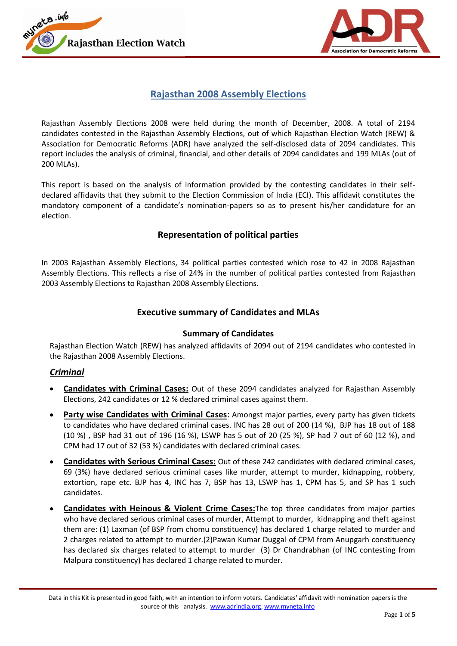



## **Rajasthan 2008 Assembly Elections**

Rajasthan Assembly Elections 2008 were held during the month of December, 2008. A total of 2194 candidates contested in the Rajasthan Assembly Elections, out of which Rajasthan Election Watch (REW) & Association for Democratic Reforms (ADR) have analyzed the self-disclosed data of 2094 candidates. This report includes the analysis of criminal, financial, and other details of 2094 candidates and 199 MLAs (out of 200 MLAs).

This report is based on the analysis of information provided by the contesting candidates in their selfdeclared affidavits that they submit to the Election Commission of India (ECI). This affidavit constitutes the mandatory component of a candidate's nomination-papers so as to present his/her candidature for an election.

## **Representation of political parties**

In 2003 Rajasthan Assembly Elections, 34 political parties contested which rose to 42 in 2008 Rajasthan Assembly Elections. This reflects a rise of 24% in the number of political parties contested from Rajasthan 2003 Assembly Elections to Rajasthan 2008 Assembly Elections.

### **Executive summary of Candidates and MLAs**

#### **Summary of Candidates**

Rajasthan Election Watch (REW) has analyzed affidavits of 2094 out of 2194 candidates who contested in the Rajasthan 2008 Assembly Elections.

#### *Criminal*

- **Candidates with Criminal Cases:** Out of these 2094 candidates analyzed for Rajasthan Assembly Elections, 242 candidates or 12 % declared criminal cases against them.
- **Party wise Candidates with Criminal Cases**: Amongst major parties, every party has given tickets to candidates who have declared criminal cases. INC has 28 out of 200 (14 %), BJP has 18 out of 188 (10 %) , BSP had 31 out of 196 (16 %), LSWP has 5 out of 20 (25 %), SP had 7 out of 60 (12 %), and CPM had 17 out of 32 (53 %) candidates with declared criminal cases.
- **Candidates with Serious Criminal Cases:** Out of these 242 candidates with declared criminal cases, 69 (3%) have declared serious criminal cases like murder, attempt to murder, kidnapping, robbery, extortion, rape etc. BJP has 4, INC has 7, BSP has 13, LSWP has 1, CPM has 5, and SP has 1 such candidates.
- **Candidates with Heinous & Violent Crime Cases:**The top three candidates from major parties who have declared serious criminal cases of murder, Attempt to murder, kidnapping and theft against them are: (1) Laxman (of BSP from chomu constituency) has declared 1 charge related to murder and 2 charges related to attempt to murder.(2)Pawan Kumar Duggal of CPM from Anupgarh constituency has declared six charges related to attempt to murder (3) Dr Chandrabhan (of INC contesting from Malpura constituency) has declared 1 charge related to murder.

Data in this Kit is presented in good faith, with an intention to inform voters. Candidates' affidavit with nomination papers is the source of this analysis. www.adrindia.org, www.myneta.info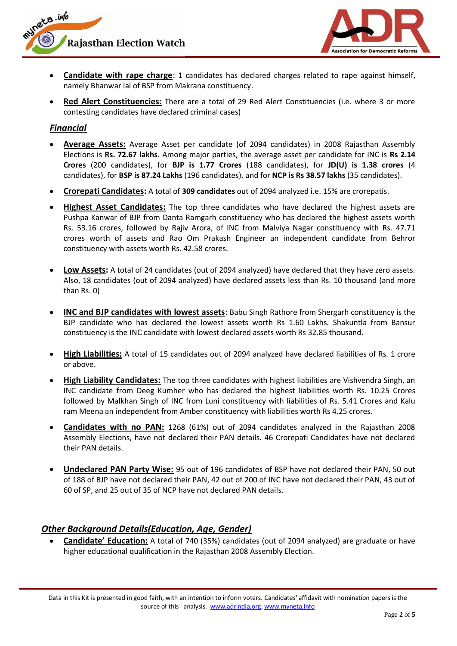



- **Candidate with rape charge**: 1 candidates has declared charges related to rape against himself, namely Bhanwar lal of BSP from Makrana constituency.
- **Red Alert Constituencies:** There are a total of 29 Red Alert Constituencies (i.e. where 3 or more contesting candidates have declared criminal cases)

## *Financial*

- **Average Assets:** Average Asset per candidate (of 2094 candidates) in 2008 Rajasthan Assembly Elections is **Rs. 72.67 lakhs**. Among major parties, the average asset per candidate for INC is **Rs 2.14 Crores** (200 candidates), for **BJP is 1.77 Crores** (188 candidates), for **JD(U) is 1.38 crores** (4 candidates), for **BSP is 87.24 Lakhs** (196 candidates), and for **NCP is Rs 38.57 lakhs** (35 candidates).
- **Crorepati Candidates:** A total of **309 candidates** out of 2094 analyzed i.e. 15% are crorepatis.
- **Highest Asset Candidates:** The top three candidates who have declared the highest assets are Pushpa Kanwar of BJP from Danta Ramgarh constituency who has declared the highest assets worth Rs. 53.16 crores, followed by Rajiv Arora, of INC from Malviya Nagar constituency with Rs. 47.71 crores worth of assets and Rao Om Prakash Engineer an independent candidate from Behror constituency with assets worth Rs. 42.58 crores.
- **Low Assets:** A total of 24 candidates (out of 2094 analyzed) have declared that they have zero assets. Also, 18 candidates (out of 2094 analyzed) have declared assets less than Rs. 10 thousand (and more than Rs. 0)
- **INC and BJP candidates with lowest assets**: Babu Singh Rathore from Shergarh constituency is the BJP candidate who has declared the lowest assets worth Rs 1.60 Lakhs. Shakuntla from Bansur constituency is the INC candidate with lowest declared assets worth Rs 32.85 thousand.
- **High Liabilities:** A total of 15 candidates out of 2094 analyzed have declared liabilities of Rs. 1 crore or above.
- **High Liability Candidates:** The top three candidates with highest liabilities are Vishvendra Singh, an INC candidate from Deeg Kumher who has declared the highest liabilities worth Rs. 10.25 Crores followed by Malkhan Singh of INC from Luni constituency with liabilities of Rs. 5.41 Crores and Kalu ram Meena an independent from Amber constituency with liabilities worth Rs 4.25 crores.
- **Candidates with no PAN:** 1268 (61%) out of 2094 candidates analyzed in the Rajasthan 2008 Assembly Elections, have not declared their PAN details. 46 Crorepati Candidates have not declared their PAN details.
- **Undeclared PAN Party Wise:** 95 out of 196 candidates of BSP have not declared their PAN, 50 out of 188 of BJP have not declared their PAN, 42 out of 200 of INC have not declared their PAN, 43 out of 60 of SP, and 25 out of 35 of NCP have not declared PAN details.

## *Other Background Details(Education, Age, Gender)*

**Candidate' Education:** A total of 740 (35%) candidates (out of 2094 analyzed) are graduate or have higher educational qualification in the Rajasthan 2008 Assembly Election.

Data in this Kit is presented in good faith, with an intention to inform voters. Candidates' affidavit with nomination papers is the source of this analysis. www.adrindia.org, www.myneta.info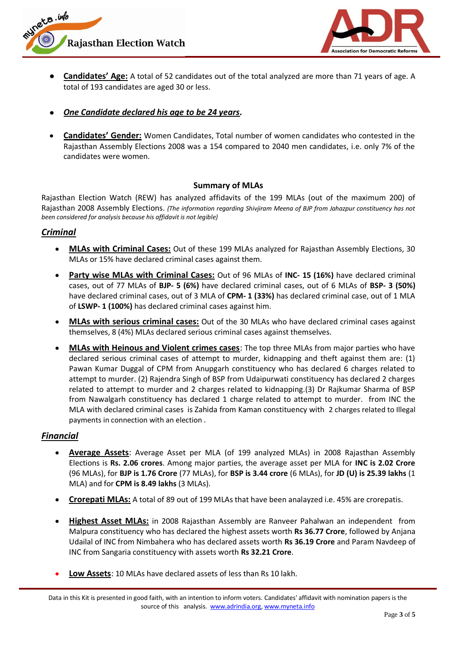



- **Candidates' Age:** A total of 52 candidates out of the total analyzed are more than 71 years of age. A total of 193 candidates are aged 30 or less.
- *One Candidate declared his age to be 24 years.*
- **Candidates' Gender:** Women Candidates, Total number of women candidates who contested in the Rajasthan Assembly Elections 2008 was a 154 compared to 2040 men candidates, i.e. only 7% of the candidates were women.

#### **Summary of MLAs**

Rajasthan Election Watch (REW) has analyzed affidavits of the 199 MLAs (out of the maximum 200) of Rajasthan 2008 Assembly Elections. *(The information regarding Shivjiram Meena of BJP from Jahazpur constituency has not been considered for analysis because his affidavit is not legible)*

## *Criminal*

- **MLAs with Criminal Cases:** Out of these 199 MLAs analyzed for Rajasthan Assembly Elections, 30 MLAs or 15% have declared criminal cases against them.
- **Party wise MLAs with Criminal Cases:** Out of 96 MLAs of **INC- 15 (16%)** have declared criminal cases, out of 77 MLAs of **BJP- 5 (6%)** have declared criminal cases, out of 6 MLAs of **BSP- 3 (50%)** have declared criminal cases, out of 3 MLA of **CPM- 1 (33%)** has declared criminal case, out of 1 MLA of **LSWP- 1 (100%)** has declared criminal cases against him.
- **MLAs with serious criminal cases:** Out of the 30 MLAs who have declared criminal cases against themselves, 8 (4%) MLAs declared serious criminal cases against themselves.
- **MLAs with Heinous and Violent crimes cases**: The top three MLAs from major parties who have declared serious criminal cases of attempt to murder, kidnapping and theft against them are: (1) Pawan Kumar Duggal of CPM from Anupgarh constituency who has declared 6 charges related to attempt to murder. (2) Rajendra Singh of BSP from Udaipurwati constituency has declared 2 charges related to attempt to murder and 2 charges related to kidnapping.(3) Dr Rajkumar Sharma of BSP from Nawalgarh constituency has declared 1 charge related to attempt to murder. from INC the MLA with declared criminal cases is Zahida from Kaman constituency with 2 charges related to Illegal payments in connection with an election .

## *Financial*

- **Average Assets**: Average Asset per MLA (of 199 analyzed MLAs) in 2008 Rajasthan Assembly Elections is **Rs. 2.06 crores**. Among major parties, the average asset per MLA for **INC is 2.02 Crore** (96 MLAs), for **BJP is 1.76 Crore** (77 MLAs), for **BSP is 3.44 crore** (6 MLAs), for **JD (U) is 25.39 lakhs** (1 MLA) and for **CPM is 8.49 lakhs** (3 MLAs).
- **Crorepati MLAs:** A total of 89 out of 199 MLAs that have been analayzed i.e. 45% are crorepatis.
- **Highest Asset MLAs:** in 2008 Rajasthan Assembly are Ranveer Pahalwan an independent from Malpura constituency who has declared the highest assets worth **Rs 36.77 Crore**, followed by Anjana Udailal of INC from Nimbahera who has declared assets worth **Rs 36.19 Crore** and Param Navdeep of INC from Sangaria constituency with assets worth **Rs 32.21 Crore**.
- **Low Assets**: 10 MLAs have declared assets of less than Rs 10 lakh.

Data in this Kit is presented in good faith, with an intention to inform voters. Candidates' affidavit with nomination papers is the source of this analysis. www.adrindia.org, www.myneta.info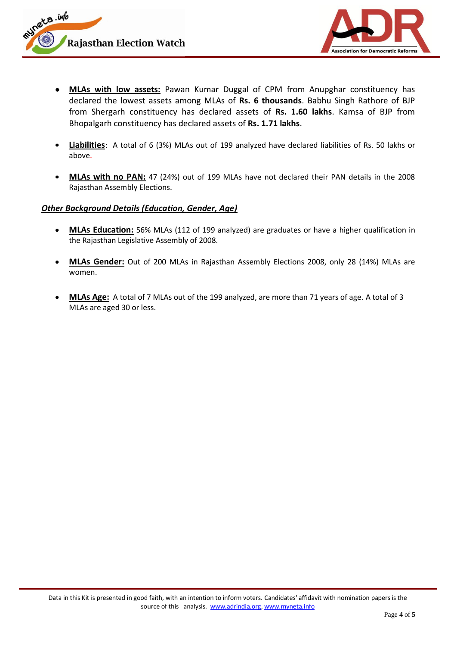



- **MLAs with low assets:** Pawan Kumar Duggal of CPM from Anupghar constituency has declared the lowest assets among MLAs of **Rs. 6 thousands**. Babhu Singh Rathore of BJP from Shergarh constituency has declared assets of **Rs. 1.60 lakhs**. Kamsa of BJP from Bhopalgarh constituency has declared assets of **Rs. 1.71 lakhs**.
- **Liabilities**: A total of 6 (3%) MLAs out of 199 analyzed have declared liabilities of Rs. 50 lakhs or above.
- **MLAs with no PAN:** 47 (24%) out of 199 MLAs have not declared their PAN details in the 2008 Rajasthan Assembly Elections.

#### *Other Background Details (Education, Gender, Age)*

- **MLAs Education:** 56% MLAs (112 of 199 analyzed) are graduates or have a higher qualification in the Rajasthan Legislative Assembly of 2008.
- **MLAs Gender:** Out of 200 MLAs in Rajasthan Assembly Elections 2008, only 28 (14%) MLAs are women.
- **MLAs Age:** A total of 7 MLAs out of the 199 analyzed, are more than 71 years of age. A total of 3 MLAs are aged 30 or less.